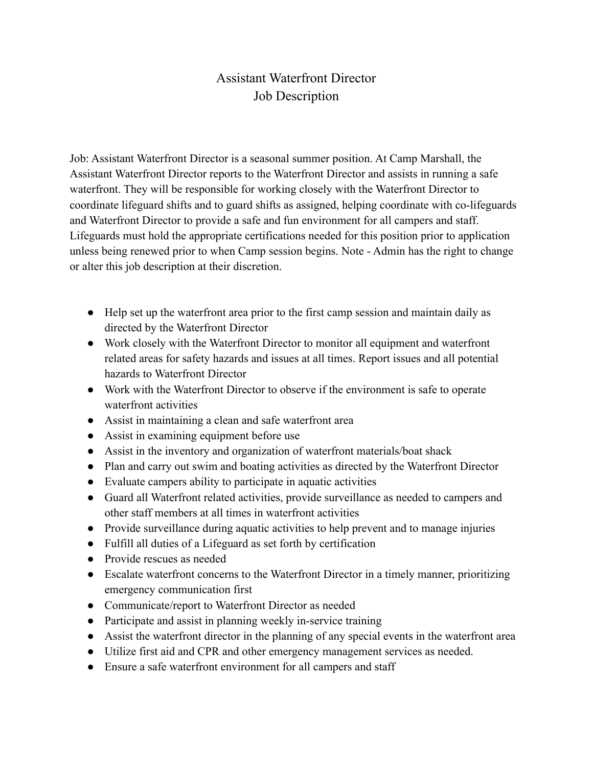## Assistant Waterfront Director Job Description

Job: Assistant Waterfront Director is a seasonal summer position. At Camp Marshall, the Assistant Waterfront Director reports to the Waterfront Director and assists in running a safe waterfront. They will be responsible for working closely with the Waterfront Director to coordinate lifeguard shifts and to guard shifts as assigned, helping coordinate with co-lifeguards and Waterfront Director to provide a safe and fun environment for all campers and staff. Lifeguards must hold the appropriate certifications needed for this position prior to application unless being renewed prior to when Camp session begins. Note - Admin has the right to change or alter this job description at their discretion.

- Help set up the waterfront area prior to the first camp session and maintain daily as directed by the Waterfront Director
- Work closely with the Waterfront Director to monitor all equipment and waterfront related areas for safety hazards and issues at all times. Report issues and all potential hazards to Waterfront Director
- Work with the Waterfront Director to observe if the environment is safe to operate waterfront activities
- Assist in maintaining a clean and safe waterfront area
- Assist in examining equipment before use
- Assist in the inventory and organization of waterfront materials/boat shack
- Plan and carry out swim and boating activities as directed by the Waterfront Director
- Evaluate campers ability to participate in aquatic activities
- Guard all Waterfront related activities, provide surveillance as needed to campers and other staff members at all times in waterfront activities
- Provide surveillance during aquatic activities to help prevent and to manage injuries
- Fulfill all duties of a Lifeguard as set forth by certification
- Provide rescues as needed
- Escalate waterfront concerns to the Waterfront Director in a timely manner, prioritizing emergency communication first
- Communicate/report to Waterfront Director as needed
- Participate and assist in planning weekly in-service training
- Assist the waterfront director in the planning of any special events in the waterfront area
- Utilize first aid and CPR and other emergency management services as needed.
- Ensure a safe waterfront environment for all campers and staff